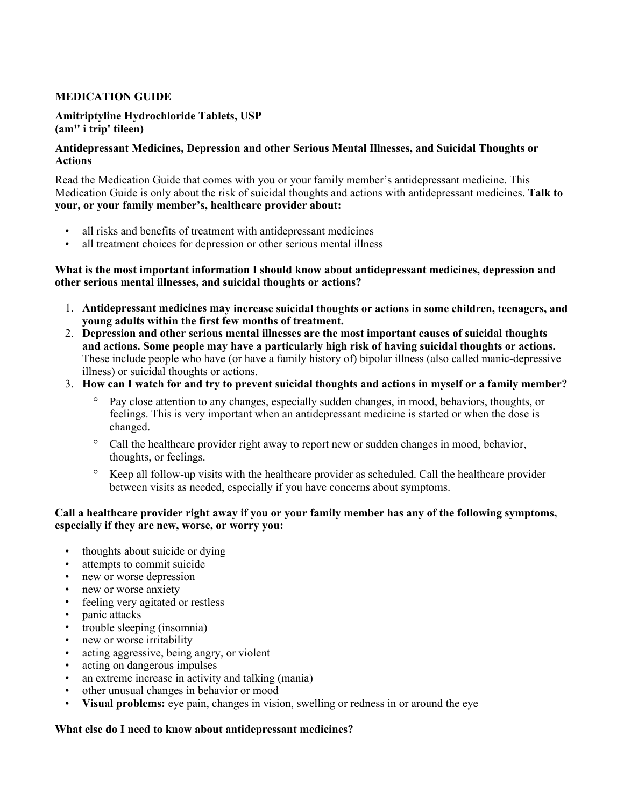## **MEDICATION GUIDE**

#### **Amitriptyline Hydrochloride Tablets, USP (am'' i trip' tileen)**

### **Antidepressant Medicines, Depression and other Serious Mental Illnesses, and Suicidal Thoughts or Actions**

Read the Medication Guide that comes with you or your family member's antidepressant medicine. This Medication Guide is only about the risk of suicidal thoughts and actions with antidepressant medicines. **Talk to your, or your family member's, healthcare provider about:** 

- all risks and benefits of treatment with antidepressant medicines
- all treatment choices for depression or other serious mental illness

#### **What is the most important information I should know about antidepressant medicines, depression and other serious mental illnesses, and suicidal thoughts or actions?**

- 1. **Antidepressant medicines may increase suicidal thoughts or actions in some children, teenagers, and young adults within the first few months of treatment.**
- 2. **Depression and other serious mental illnesses are the most important causes of suicidal thoughts and actions. Some people may have a particularly high risk of having suicidal thoughts or actions.** These include people who have (or have a family history of) bipolar illness (also called manic-depressive illness) or suicidal thoughts or actions.
- 3. **How can I watch for and try to prevent suicidal thoughts and actions in myself or a family member?**
	- ∘ Pay close attention to any changes, especially sudden changes, in mood, behaviors, thoughts, or feelings. This is very important when an antidepressant medicine is started or when the dose is changed.
	- ∘ Call the healthcare provider right away to report new or sudden changes in mood, behavior, thoughts, or feelings.
	- ∘ Keep all follow-up visits with the healthcare provider as scheduled. Call the healthcare provider between visits as needed, especially if you have concerns about symptoms.

#### **Call a healthcare provider right away if you or your family member has any of the following symptoms, especially if they are new, worse, or worry you:**

- thoughts about suicide or dying
- attempts to commit suicide
- new or worse depression
- new or worse anxiety
- feeling very agitated or restless
- panic attacks
- trouble sleeping (insomnia)
- new or worse irritability
- acting aggressive, being angry, or violent
- acting on dangerous impulses
- an extreme increase in activity and talking (mania)
- other unusual changes in behavior or mood
- **Visual problems:** eye pain, changes in vision, swelling or redness in or around the eye

#### **What else do I need to know about antidepressant medicines?**